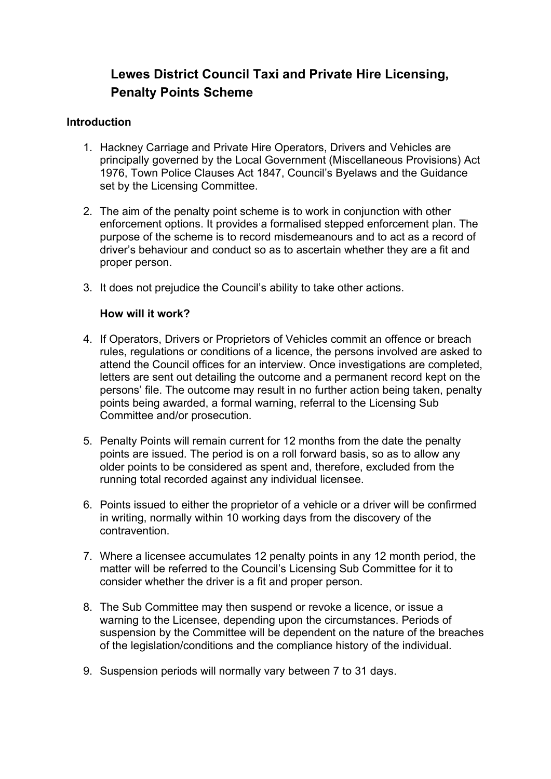## **Lewes District Council Taxi and Private Hire Licensing, Penalty Points Scheme**

## **Introduction**

- 1. Hackney Carriage and Private Hire Operators, Drivers and Vehicles are principally governed by the Local Government (Miscellaneous Provisions) Act 1976, Town Police Clauses Act 1847, Council's Byelaws and the Guidance set by the Licensing Committee.
- 2. The aim of the penalty point scheme is to work in conjunction with other enforcement options. It provides a formalised stepped enforcement plan. The purpose of the scheme is to record misdemeanours and to act as a record of driver's behaviour and conduct so as to ascertain whether they are a fit and proper person.
- 3. It does not prejudice the Council's ability to take other actions.

## **How will it work?**

- 4. If Operators, Drivers or Proprietors of Vehicles commit an offence or breach rules, regulations or conditions of a licence, the persons involved are asked to attend the Council offices for an interview. Once investigations are completed, letters are sent out detailing the outcome and a permanent record kept on the persons' file. The outcome may result in no further action being taken, penalty points being awarded, a formal warning, referral to the Licensing Sub Committee and/or prosecution.
- 5. Penalty Points will remain current for 12 months from the date the penalty points are issued. The period is on a roll forward basis, so as to allow any older points to be considered as spent and, therefore, excluded from the running total recorded against any individual licensee.
- 6. Points issued to either the proprietor of a vehicle or a driver will be confirmed in writing, normally within 10 working days from the discovery of the contravention.
- 7. Where a licensee accumulates 12 penalty points in any 12 month period, the matter will be referred to the Council's Licensing Sub Committee for it to consider whether the driver is a fit and proper person.
- 8. The Sub Committee may then suspend or revoke a licence, or issue a warning to the Licensee, depending upon the circumstances. Periods of suspension by the Committee will be dependent on the nature of the breaches of the legislation/conditions and the compliance history of the individual.
- 9. Suspension periods will normally vary between 7 to 31 days.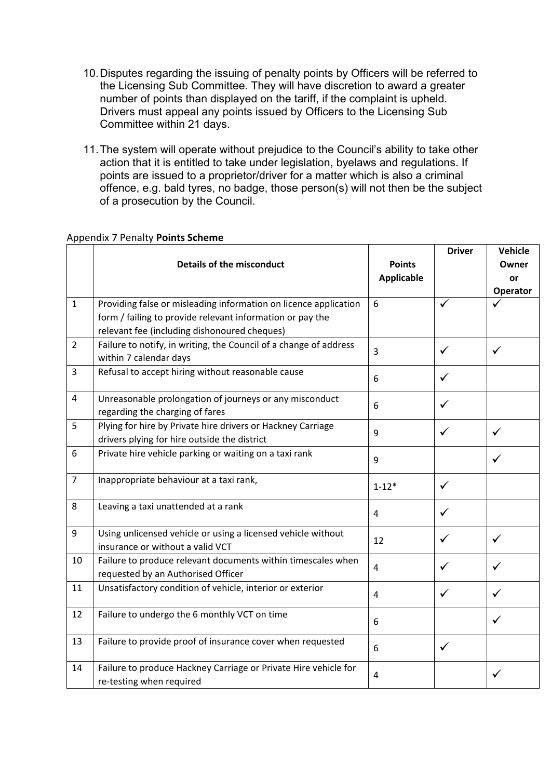- 10.Disputes regarding the issuing of penalty points by Officers will be referred to the Licensing Sub Committee. They will have discretion to award a greater number of points than displayed on the tariff, if the complaint is upheld. Drivers must appeal any points issued by Officers to the Licensing Sub Committee within 21 days.
- 11.The system will operate without prejudice to the Council's ability to take other action that it is entitled to take under legislation, byelaws and regulations. If points are issued to a proprietor/driver for a matter which is also a criminal offence, e.g. bald tyres, no badge, those person(s) will not then be the subject of a prosecution by the Council.

|                | <b>Details of the misconduct</b>                                                                                              | <b>Points</b><br><b>Applicable</b> | <b>Driver</b> | <b>Vehicle</b><br>Owner<br>or<br><b>Operator</b> |
|----------------|-------------------------------------------------------------------------------------------------------------------------------|------------------------------------|---------------|--------------------------------------------------|
| $\mathbf{1}$   | Providing false or misleading information on licence application<br>form / failing to provide relevant information or pay the | 6                                  | ✓             | ✓                                                |
|                | relevant fee (including dishonoured cheques)                                                                                  |                                    |               |                                                  |
| $\overline{2}$ | Failure to notify, in writing, the Council of a change of address<br>within 7 calendar days                                   | 3                                  | $\checkmark$  | $\checkmark$                                     |
| 3              | Refusal to accept hiring without reasonable cause                                                                             | 6                                  | $\checkmark$  |                                                  |
| 4              | Unreasonable prolongation of journeys or any misconduct<br>regarding the charging of fares                                    | 6                                  | ✓             |                                                  |
| 5              | Plying for hire by Private hire drivers or Hackney Carriage<br>drivers plying for hire outside the district                   | 9                                  | ✓             | $\checkmark$                                     |
| 6              | Private hire vehicle parking or waiting on a taxi rank                                                                        | 9                                  |               | $\checkmark$                                     |
| $\overline{7}$ | Inappropriate behaviour at a taxi rank,                                                                                       | $1 - 12*$                          | $\checkmark$  |                                                  |
| 8              | Leaving a taxi unattended at a rank                                                                                           | 4                                  | $\checkmark$  |                                                  |
| 9              | Using unlicensed vehicle or using a licensed vehicle without<br>insurance or without a valid VCT                              | 12                                 | $\checkmark$  | $\checkmark$                                     |
| 10             | Failure to produce relevant documents within timescales when<br>requested by an Authorised Officer                            | 4                                  | ✓             | $\checkmark$                                     |
| 11             | Unsatisfactory condition of vehicle, interior or exterior                                                                     | 4                                  | ✓             | $\checkmark$                                     |
| 12             | Failure to undergo the 6 monthly VCT on time                                                                                  | 6                                  |               | ✓                                                |
| 13             | Failure to provide proof of insurance cover when requested                                                                    | 6                                  | $\checkmark$  |                                                  |
| 14             | Failure to produce Hackney Carriage or Private Hire vehicle for<br>re-testing when required                                   | 4                                  |               | ✓                                                |

## Appendix 7 Penalty **Points Scheme**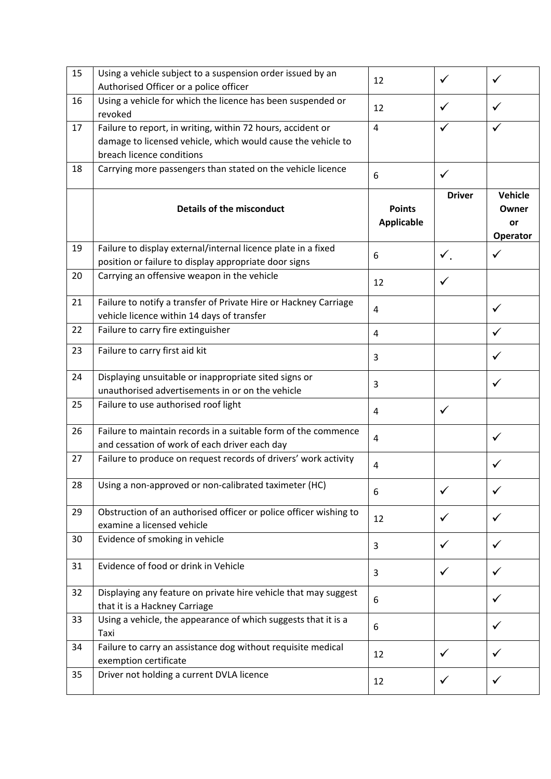| 15 | Using a vehicle subject to a suspension order issued by an                                      | 12                |                | ✓            |
|----|-------------------------------------------------------------------------------------------------|-------------------|----------------|--------------|
|    | Authorised Officer or a police officer                                                          |                   |                |              |
| 16 | Using a vehicle for which the licence has been suspended or                                     | 12                |                |              |
|    | revoked                                                                                         |                   |                |              |
| 17 | Failure to report, in writing, within 72 hours, accident or                                     | 4                 |                | ✓            |
|    | damage to licensed vehicle, which would cause the vehicle to                                    |                   |                |              |
|    | breach licence conditions                                                                       |                   |                |              |
| 18 | Carrying more passengers than stated on the vehicle licence                                     | 6                 | $\checkmark$   |              |
|    |                                                                                                 |                   | <b>Driver</b>  | Vehicle      |
|    | <b>Details of the misconduct</b>                                                                | <b>Points</b>     |                | Owner        |
|    |                                                                                                 | <b>Applicable</b> |                | or           |
|    |                                                                                                 |                   |                | Operator     |
| 19 | Failure to display external/internal licence plate in a fixed                                   |                   |                |              |
|    | position or failure to display appropriate door signs                                           | 6                 | $\checkmark$ . | $\checkmark$ |
| 20 | Carrying an offensive weapon in the vehicle                                                     |                   |                |              |
|    |                                                                                                 | 12                |                |              |
| 21 | Failure to notify a transfer of Private Hire or Hackney Carriage                                |                   |                |              |
|    | vehicle licence within 14 days of transfer                                                      | 4                 |                | ✓            |
| 22 | Failure to carry fire extinguisher                                                              | 4                 |                | $\checkmark$ |
|    |                                                                                                 |                   |                |              |
| 23 | Failure to carry first aid kit                                                                  | 3                 |                | ✓            |
|    |                                                                                                 |                   |                |              |
| 24 | Displaying unsuitable or inappropriate sited signs or                                           | 3                 |                | ✓            |
|    | unauthorised advertisements in or on the vehicle                                                |                   |                |              |
| 25 | Failure to use authorised roof light                                                            | 4                 | $\checkmark$   |              |
|    |                                                                                                 |                   |                |              |
| 26 | Failure to maintain records in a suitable form of the commence                                  | 4                 |                | ✓            |
|    | and cessation of work of each driver each day                                                   |                   |                |              |
| 27 | Failure to produce on request records of drivers' work activity                                 | 4                 |                | ✓            |
|    |                                                                                                 |                   |                |              |
| 28 | Using a non-approved or non-calibrated taximeter (HC)                                           | 6                 |                |              |
|    |                                                                                                 |                   |                |              |
| 29 | Obstruction of an authorised officer or police officer wishing to<br>examine a licensed vehicle | 12                |                | ✓            |
|    |                                                                                                 |                   |                |              |
| 30 | Evidence of smoking in vehicle                                                                  | 3                 |                |              |
| 31 | Evidence of food or drink in Vehicle                                                            |                   |                |              |
|    |                                                                                                 | 3                 |                |              |
| 32 | Displaying any feature on private hire vehicle that may suggest                                 |                   |                |              |
|    |                                                                                                 | 6                 |                | ✓            |
|    | that it is a Hackney Carriage                                                                   |                   |                |              |
| 33 | Using a vehicle, the appearance of which suggests that it is a                                  | 6                 |                |              |
|    | Taxi                                                                                            |                   |                |              |
| 34 | Failure to carry an assistance dog without requisite medical                                    | 12                |                |              |
|    | exemption certificate                                                                           |                   |                |              |
| 35 | Driver not holding a current DVLA licence                                                       | 12                |                |              |
|    |                                                                                                 |                   |                |              |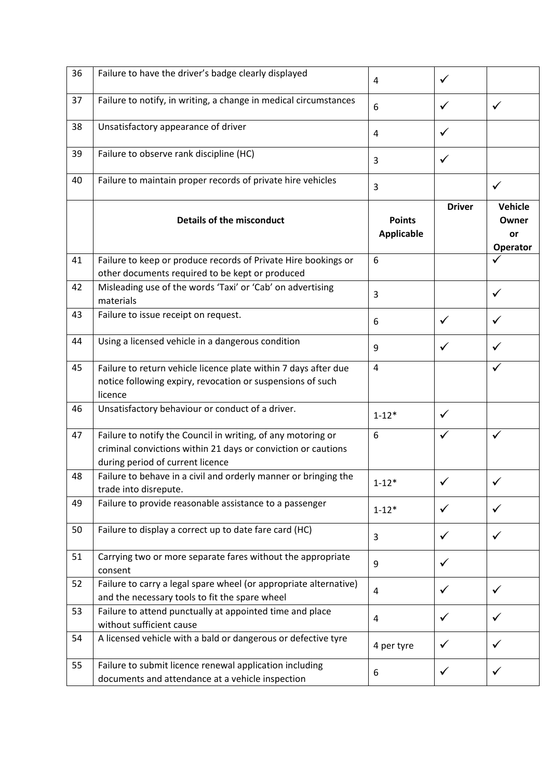| 36 | Failure to have the driver's badge clearly displayed                                                                                                              | $\overline{4}$                     | ✓             |                                           |
|----|-------------------------------------------------------------------------------------------------------------------------------------------------------------------|------------------------------------|---------------|-------------------------------------------|
| 37 | Failure to notify, in writing, a change in medical circumstances                                                                                                  | 6                                  | ✓             | $\checkmark$                              |
| 38 | Unsatisfactory appearance of driver                                                                                                                               | 4                                  | $\checkmark$  |                                           |
| 39 | Failure to observe rank discipline (HC)                                                                                                                           | 3                                  | ✓             |                                           |
| 40 | Failure to maintain proper records of private hire vehicles                                                                                                       | 3                                  |               | $\checkmark$                              |
|    | <b>Details of the misconduct</b>                                                                                                                                  | <b>Points</b><br><b>Applicable</b> | <b>Driver</b> | <b>Vehicle</b><br>Owner<br>or<br>Operator |
| 41 | Failure to keep or produce records of Private Hire bookings or<br>other documents required to be kept or produced                                                 | 6                                  |               |                                           |
| 42 | Misleading use of the words 'Taxi' or 'Cab' on advertising<br>materials                                                                                           | 3                                  |               | $\checkmark$                              |
| 43 | Failure to issue receipt on request.                                                                                                                              | 6                                  | ✓             | ✓                                         |
| 44 | Using a licensed vehicle in a dangerous condition                                                                                                                 | 9                                  | ✓             | ✓                                         |
| 45 | Failure to return vehicle licence plate within 7 days after due<br>notice following expiry, revocation or suspensions of such<br>licence                          | $\overline{4}$                     |               | ✓                                         |
| 46 | Unsatisfactory behaviour or conduct of a driver.                                                                                                                  | $1 - 12*$                          | $\checkmark$  |                                           |
| 47 | Failure to notify the Council in writing, of any motoring or<br>criminal convictions within 21 days or conviction or cautions<br>during period of current licence | 6                                  | ✓             | $\checkmark$                              |
| 48 | Failure to behave in a civil and orderly manner or bringing the<br>trade into disrepute.                                                                          | $1 - 12*$                          | $\checkmark$  | $\checkmark$                              |
| 49 | Failure to provide reasonable assistance to a passenger                                                                                                           | $1 - 12*$                          | ✓             | ✓                                         |
| 50 | Failure to display a correct up to date fare card (HC)                                                                                                            | 3                                  | ✓             |                                           |
| 51 | Carrying two or more separate fares without the appropriate<br>consent                                                                                            | 9                                  | ✓             |                                           |
| 52 | Failure to carry a legal spare wheel (or appropriate alternative)<br>and the necessary tools to fit the spare wheel                                               | 4                                  | ✓             |                                           |
| 53 | Failure to attend punctually at appointed time and place<br>without sufficient cause                                                                              | 4                                  | ✓             |                                           |
| 54 | A licensed vehicle with a bald or dangerous or defective tyre                                                                                                     | 4 per tyre                         |               |                                           |
| 55 | Failure to submit licence renewal application including<br>documents and attendance at a vehicle inspection                                                       | 6                                  |               |                                           |